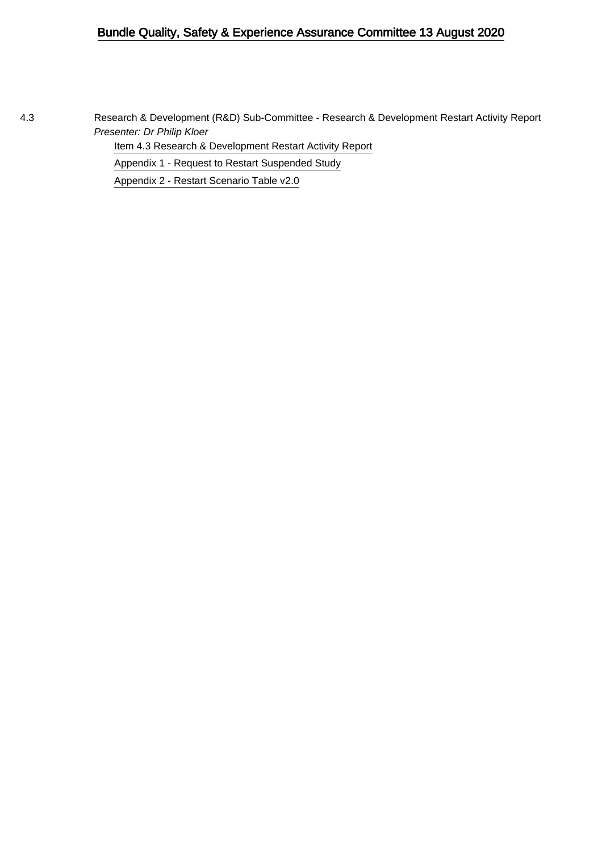# Bundle Quality, Safety & Experience Assurance Committee 13 August 2020

4.3 Research & Development (R&D) Sub-Committee - Research & Development Restart Activity Report Presenter: Dr Philip Kloer

[Item 4.3 Research & Development Restart Activity Report](#page-1-0)

[Appendix 1 - Request to Restart Suspended Study](#page-6-0)

[Appendix 2 - Restart Scenario Table v2.0](#page-8-0)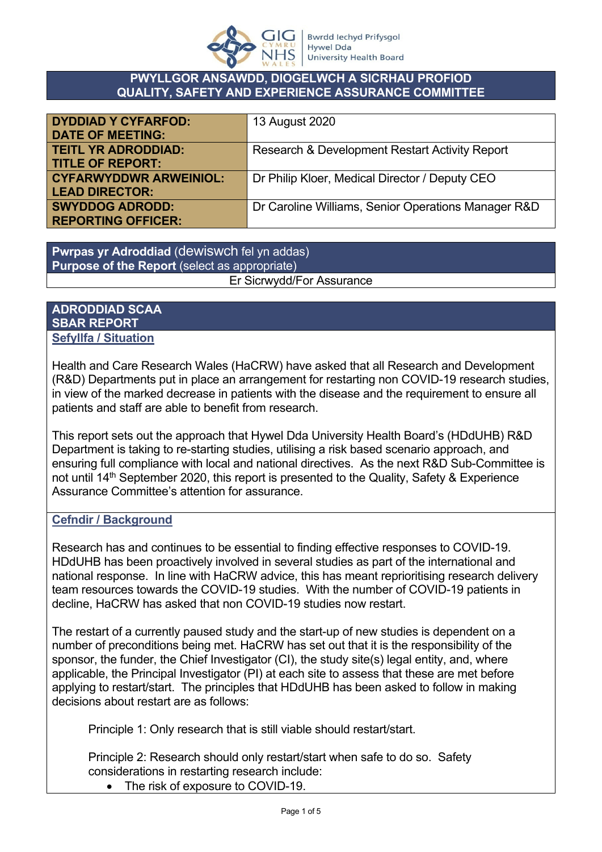

### <span id="page-1-0"></span>**PWYLLGOR ANSAWDD, DIOGELWCH A SICRHAU PROFIOD QUALITY, SAFETY AND EXPERIENCE ASSURANCE COMMITTEE**

| <b>DYDDIAD Y CYFARFOD:</b>    | 13 August 2020                                      |
|-------------------------------|-----------------------------------------------------|
| <b>DATE OF MEETING:</b>       |                                                     |
| <b>TEITL YR ADRODDIAD:</b>    | Research & Development Restart Activity Report      |
| <b>TITLE OF REPORT:</b>       |                                                     |
| <b>CYFARWYDDWR ARWEINIOL:</b> | Dr Philip Kloer, Medical Director / Deputy CEO      |
| <b>LEAD DIRECTOR:</b>         |                                                     |
| <b>SWYDDOG ADRODD:</b>        | Dr Caroline Williams, Senior Operations Manager R&D |
| <b>REPORTING OFFICER:</b>     |                                                     |

**Pwrpas yr Adroddiad** (dewiswch fel yn addas) **Purpose of the Report** (select as appropriate) Er Sicrwydd/For Assurance

### **ADRODDIAD SCAA SBAR REPORT Sefyllfa / Situation**

Health and Care Research Wales (HaCRW) have asked that all Research and Development (R&D) Departments put in place an arrangement for restarting non COVID-19 research studies, in view of the marked decrease in patients with the disease and the requirement to ensure all patients and staff are able to benefit from research.

This report sets out the approach that Hywel Dda University Health Board's (HDdUHB) R&D Department is taking to re-starting studies, utilising a risk based scenario approach, and ensuring full compliance with local and national directives. As the next R&D Sub-Committee is not until 14<sup>th</sup> September 2020, this report is presented to the Quality, Safety & Experience Assurance Committee's attention for assurance.

## **Cefndir / Background**

Research has and continues to be essential to finding effective responses to COVID-19. HDdUHB has been proactively involved in several studies as part of the international and national response. In line with HaCRW advice, this has meant reprioritising research delivery team resources towards the COVID-19 studies. With the number of COVID-19 patients in decline, HaCRW has asked that non COVID-19 studies now restart.

The restart of a currently paused study and the start-up of new studies is dependent on a number of preconditions being met. HaCRW has set out that it is the responsibility of the sponsor, the funder, the Chief Investigator (CI), the study site(s) legal entity, and, where applicable, the Principal Investigator (PI) at each site to assess that these are met before applying to restart/start. The principles that HDdUHB has been asked to follow in making decisions about restart are as follows:

Principle 1: Only research that is still viable should restart/start.

Principle 2: Research should only restart/start when safe to do so. Safety considerations in restarting research include:

The risk of exposure to COVID-19.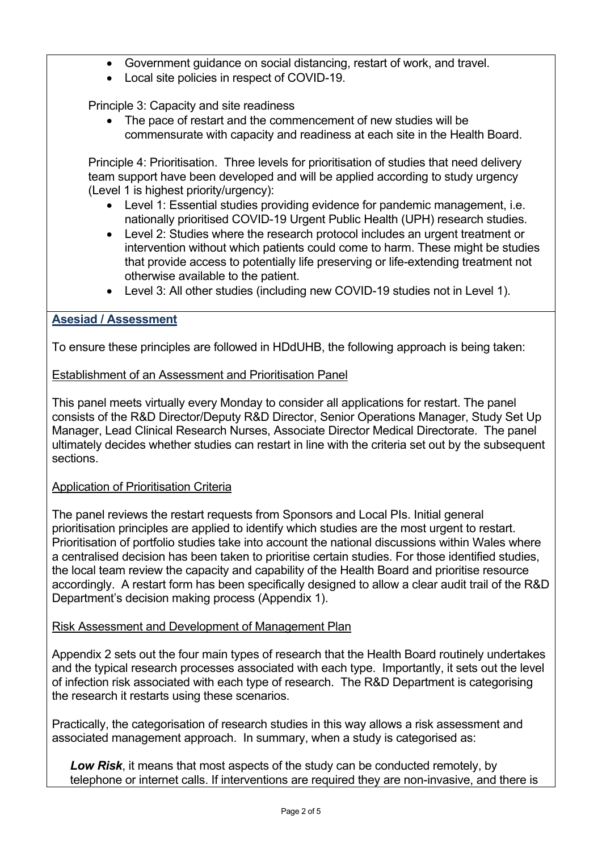- Government guidance on social distancing, restart of work, and travel.
- Local site policies in respect of COVID-19.

Principle 3: Capacity and site readiness

• The pace of restart and the commencement of new studies will be commensurate with capacity and readiness at each site in the Health Board.

Principle 4: Prioritisation. Three levels for prioritisation of studies that need delivery team support have been developed and will be applied according to study urgency (Level 1 is highest priority/urgency):

- Level 1: Essential studies providing evidence for pandemic management, i.e. nationally prioritised COVID-19 Urgent Public Health (UPH) research studies.
- Level 2: Studies where the research protocol includes an urgent treatment or intervention without which patients could come to harm. These might be studies that provide access to potentially life preserving or life-extending treatment not otherwise available to the patient.
- Level 3: All other studies (including new COVID-19 studies not in Level 1).

## **Asesiad / Assessment**

To ensure these principles are followed in HDdUHB, the following approach is being taken:

## Establishment of an Assessment and Prioritisation Panel

This panel meets virtually every Monday to consider all applications for restart. The panel consists of the R&D Director/Deputy R&D Director, Senior Operations Manager, Study Set Up Manager, Lead Clinical Research Nurses, Associate Director Medical Directorate. The panel ultimately decides whether studies can restart in line with the criteria set out by the subsequent sections.

## Application of Prioritisation Criteria

The panel reviews the restart requests from Sponsors and Local PIs. Initial general prioritisation principles are applied to identify which studies are the most urgent to restart. Prioritisation of portfolio studies take into account the national discussions within Wales where a centralised decision has been taken to prioritise certain studies. For those identified studies, the local team review the capacity and capability of the Health Board and prioritise resource accordingly. A restart form has been specifically designed to allow a clear audit trail of the R&D Department's decision making process (Appendix 1).

## Risk Assessment and Development of Management Plan

Appendix 2 sets out the four main types of research that the Health Board routinely undertakes and the typical research processes associated with each type. Importantly, it sets out the level of infection risk associated with each type of research. The R&D Department is categorising the research it restarts using these scenarios.

Practically, the categorisation of research studies in this way allows a risk assessment and associated management approach. In summary, when a study is categorised as:

*Low Risk*, it means that most aspects of the study can be conducted remotely, by telephone or internet calls. If interventions are required they are non-invasive, and there is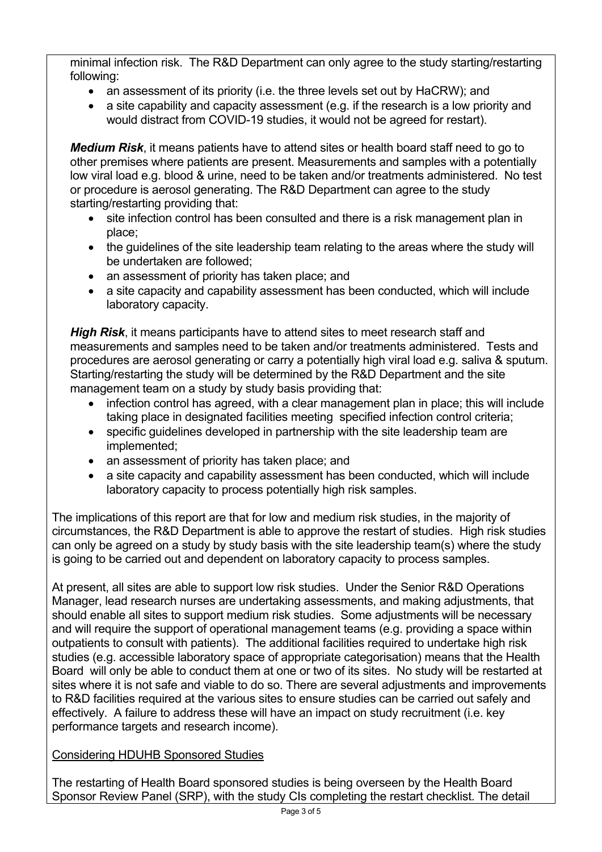minimal infection risk. The R&D Department can only agree to the study starting/restarting following:

- an assessment of its priority (i.e. the three levels set out by HaCRW); and
- a site capability and capacity assessment (e.g. if the research is a low priority and would distract from COVID-19 studies, it would not be agreed for restart).

*Medium Risk*, it means patients have to attend sites or health board staff need to go to other premises where patients are present. Measurements and samples with a potentially low viral load e.g. blood & urine, need to be taken and/or treatments administered. No test or procedure is aerosol generating. The R&D Department can agree to the study starting/restarting providing that:

- site infection control has been consulted and there is a risk management plan in place;
- the quidelines of the site leadership team relating to the areas where the study will be undertaken are followed;
- an assessment of priority has taken place; and
- a site capacity and capability assessment has been conducted, which will include laboratory capacity.

*High Risk*, it means participants have to attend sites to meet research staff and measurements and samples need to be taken and/or treatments administered. Tests and procedures are aerosol generating or carry a potentially high viral load e.g. saliva & sputum. Starting/restarting the study will be determined by the R&D Department and the site management team on a study by study basis providing that:

- infection control has agreed, with a clear management plan in place; this will include taking place in designated facilities meeting specified infection control criteria;
- specific guidelines developed in partnership with the site leadership team are implemented;
- an assessment of priority has taken place; and
- a site capacity and capability assessment has been conducted, which will include laboratory capacity to process potentially high risk samples.

The implications of this report are that for low and medium risk studies, in the majority of circumstances, the R&D Department is able to approve the restart of studies. High risk studies can only be agreed on a study by study basis with the site leadership team(s) where the study is going to be carried out and dependent on laboratory capacity to process samples.

At present, all sites are able to support low risk studies. Under the Senior R&D Operations Manager, lead research nurses are undertaking assessments, and making adjustments, that should enable all sites to support medium risk studies. Some adjustments will be necessary and will require the support of operational management teams (e.g. providing a space within outpatients to consult with patients). The additional facilities required to undertake high risk studies (e.g. accessible laboratory space of appropriate categorisation) means that the Health Board will only be able to conduct them at one or two of its sites. No study will be restarted at sites where it is not safe and viable to do so. There are several adjustments and improvements to R&D facilities required at the various sites to ensure studies can be carried out safely and effectively. A failure to address these will have an impact on study recruitment (i.e. key performance targets and research income).

# Considering HDUHB Sponsored Studies

The restarting of Health Board sponsored studies is being overseen by the Health Board Sponsor Review Panel (SRP), with the study CIs completing the restart checklist. The detail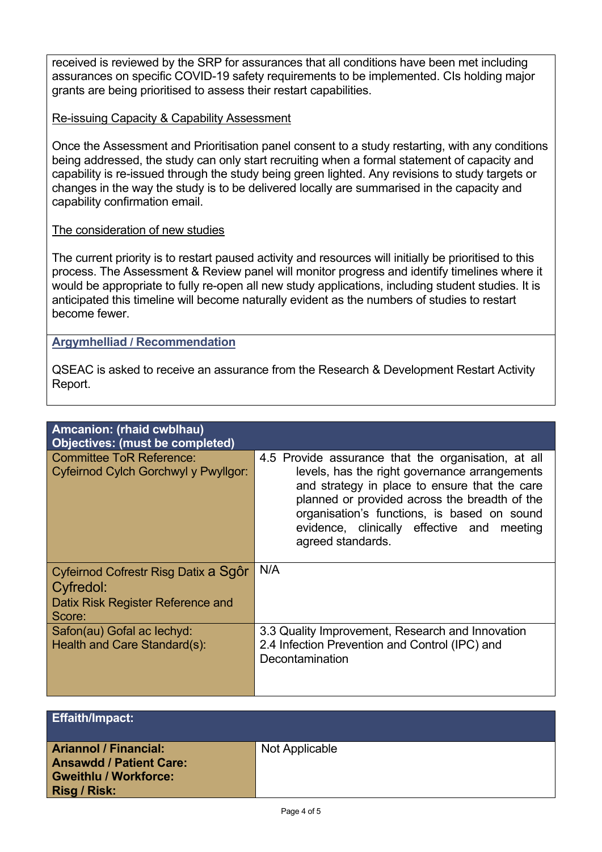received is reviewed by the SRP for assurances that all conditions have been met including assurances on specific COVID-19 safety requirements to be implemented. CIs holding major grants are being prioritised to assess their restart capabilities.

## Re-issuing Capacity & Capability Assessment

Once the Assessment and Prioritisation panel consent to a study restarting, with any conditions being addressed, the study can only start recruiting when a formal statement of capacity and capability is re-issued through the study being green lighted. Any revisions to study targets or changes in the way the study is to be delivered locally are summarised in the capacity and capability confirmation email.

### The consideration of new studies

The current priority is to restart paused activity and resources will initially be prioritised to this process. The Assessment & Review panel will monitor progress and identify timelines where it would be appropriate to fully re-open all new study applications, including student studies. It is anticipated this timeline will become naturally evident as the numbers of studies to restart become fewer.

### **Argymhelliad / Recommendation**

QSEAC is asked to receive an assurance from the Research & Development Restart Activity Report.

| Amcanion: (rhaid cwblhau)<br><b>Objectives: (must be completed)</b>                              |                                                                                                                                                                                                                                                                                                                          |
|--------------------------------------------------------------------------------------------------|--------------------------------------------------------------------------------------------------------------------------------------------------------------------------------------------------------------------------------------------------------------------------------------------------------------------------|
| <b>Committee ToR Reference:</b><br>Cyfeirnod Cylch Gorchwyl y Pwyllgor:                          | 4.5 Provide assurance that the organisation, at all<br>levels, has the right governance arrangements<br>and strategy in place to ensure that the care<br>planned or provided across the breadth of the<br>organisation's functions, is based on sound<br>evidence, clinically effective and meeting<br>agreed standards. |
| Cyfeirnod Cofrestr Risg Datix a Sgôr<br>Cyfredol:<br>Datix Risk Register Reference and<br>Score: | N/A                                                                                                                                                                                                                                                                                                                      |
| Safon(au) Gofal ac lechyd:<br>Health and Care Standard(s):                                       | 3.3 Quality Improvement, Research and Innovation<br>2.4 Infection Prevention and Control (IPC) and<br>Decontamination                                                                                                                                                                                                    |

| <b>Effaith/Impact:</b>                                                                                                |                |
|-----------------------------------------------------------------------------------------------------------------------|----------------|
| <b>Ariannol / Financial:</b><br><b>Ansawdd / Patient Care:</b><br><b>Gweithlu / Workforce:</b><br><b>Risg / Risk:</b> | Not Applicable |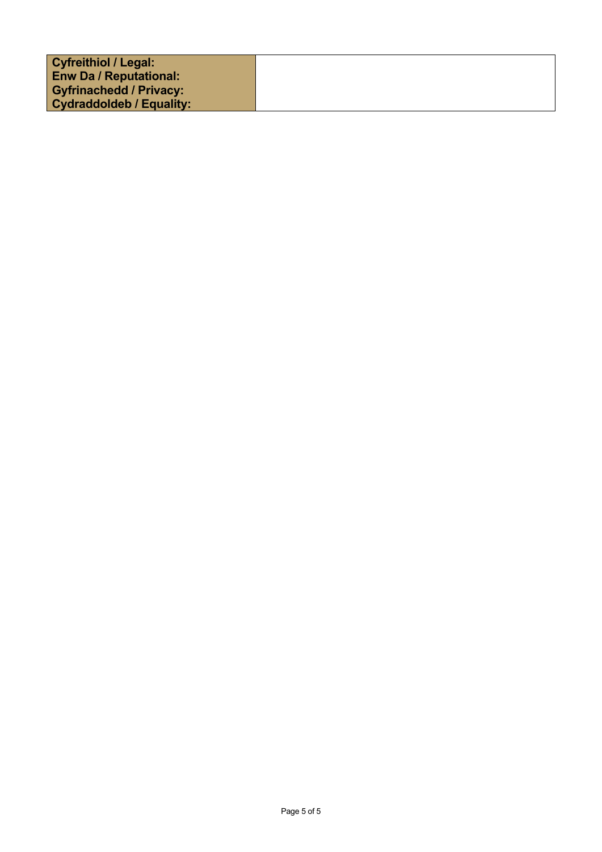| <b>Cyfreithiol / Legal:</b>     |  |
|---------------------------------|--|
| <b>Enw Da / Reputational:</b>   |  |
|                                 |  |
| <b>Gyfrinachedd / Privacy:</b>  |  |
| <b>Cydraddoldeb / Equality:</b> |  |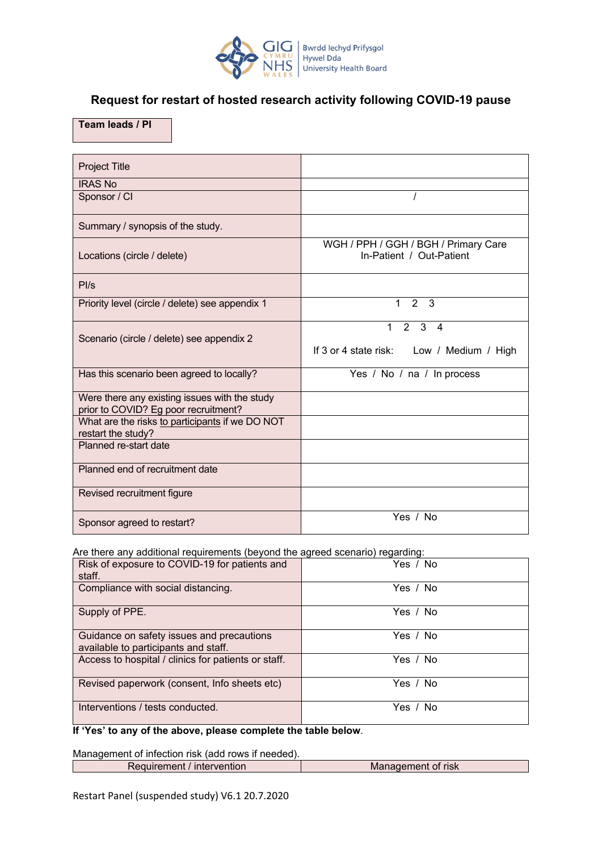

# <span id="page-6-0"></span>**Request for restart of hosted research activity following COVID-19 pause**

## **Team leads / PI**

| <b>Project Title</b>                                                                  |                                                                                                 |
|---------------------------------------------------------------------------------------|-------------------------------------------------------------------------------------------------|
| <b>IRAS No</b>                                                                        |                                                                                                 |
| Sponsor / CI                                                                          |                                                                                                 |
| Summary / synopsis of the study.                                                      |                                                                                                 |
| Locations (circle / delete)                                                           | WGH / PPH / GGH / BGH / Primary Care<br>In-Patient / Out-Patient                                |
| PI/s                                                                                  |                                                                                                 |
| Priority level (circle / delete) see appendix 1                                       | 2 <sub>3</sub><br>$\mathbf{1}$                                                                  |
| Scenario (circle / delete) see appendix 2                                             | $2^{\circ}$<br>$\mathbf{3}$<br>1<br>$\overline{4}$<br>If 3 or 4 state risk: Low / Medium / High |
| Has this scenario been agreed to locally?                                             | Yes / No / na / In process                                                                      |
| Were there any existing issues with the study<br>prior to COVID? Eg poor recruitment? |                                                                                                 |
| What are the risks to participants if we DO NOT<br>restart the study?                 |                                                                                                 |
| Planned re-start date                                                                 |                                                                                                 |
| Planned end of recruitment date                                                       |                                                                                                 |
| Revised recruitment figure                                                            |                                                                                                 |
| Sponsor agreed to restart?                                                            | Yes / No                                                                                        |

Are there any additional requirements (beyond the agreed scenario) regarding:

| Risk of exposure to COVID-19 for patients and<br>staff.                           | Yes / No |
|-----------------------------------------------------------------------------------|----------|
| Compliance with social distancing.                                                | Yes / No |
| Supply of PPE.                                                                    | Yes / No |
| Guidance on safety issues and precautions<br>available to participants and staff. | Yes / No |
| Access to hospital / clinics for patients or staff.                               | Yes / No |
| Revised paperwork (consent, Info sheets etc)                                      | Yes / No |
| Interventions / tests conducted.                                                  | Yes / No |

**If 'Yes' to any of the above, please complete the table below**.

Management of infection risk (add rows if needed).

| Requirement / intervention | Management of risk |
|----------------------------|--------------------|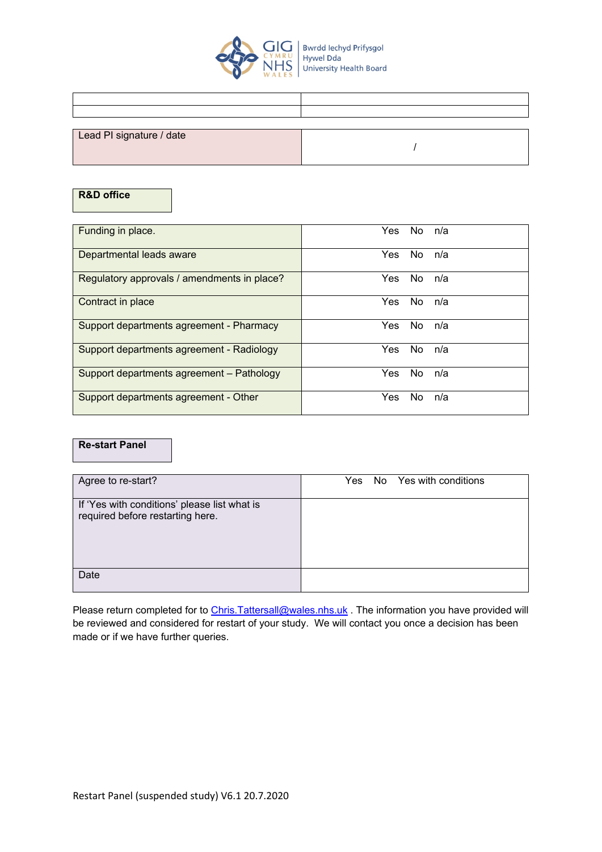

| Lead PI signature / date |  |
|--------------------------|--|
|                          |  |
|                          |  |

## **R&D office**

| Funding in place.                           | No.<br>Yes.<br>n/a |
|---------------------------------------------|--------------------|
| Departmental leads aware                    | No.<br>Yes.<br>n/a |
| Regulatory approvals / amendments in place? | No.<br>Yes.<br>n/a |
| Contract in place                           | No.<br>Yes<br>n/a  |
| Support departments agreement - Pharmacy    | No.<br>n/a<br>Yes. |
| Support departments agreement - Radiology   | No.<br>Yes<br>n/a  |
| Support departments agreement - Pathology   | No.<br>Yes.<br>n/a |
| Support departments agreement - Other       | No.<br>Yes<br>n/a  |

#### **Re-start Panel**

| Agree to re-start?                                                               | Yes | No Yes with conditions |
|----------------------------------------------------------------------------------|-----|------------------------|
| If 'Yes with conditions' please list what is<br>required before restarting here. |     |                        |
| Date                                                                             |     |                        |

Please return completed for to Chris.Tattersall@wales.nhs.uk . The information you have provided will be reviewed and considered for restart of your study. We will contact you once a decision has been made or if we have further queries.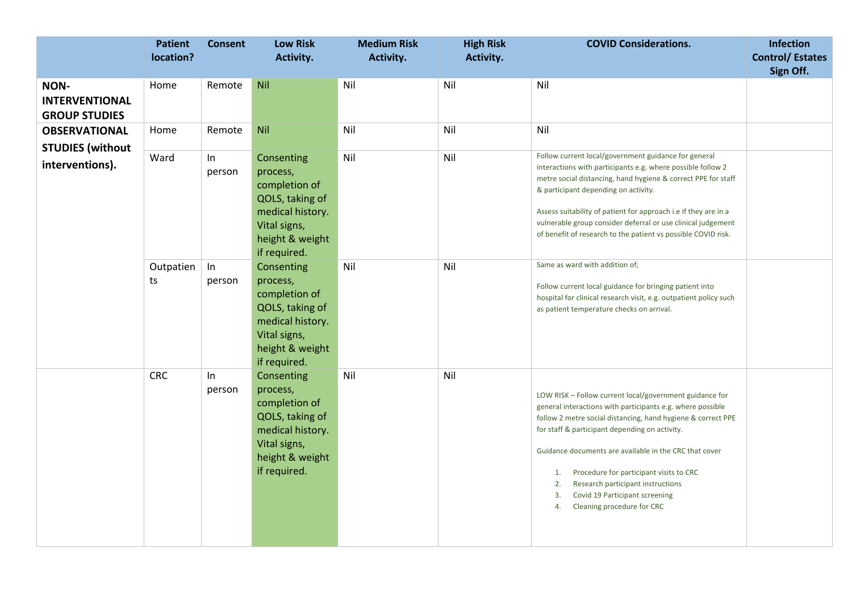<span id="page-8-0"></span>

|                                                       | <b>Patient</b><br>location? | <b>Consent</b> | <b>Low Risk</b><br>Activity.                                                                                                      | <b>Medium Risk</b><br>Activity. | <b>High Risk</b><br>Activity. | <b>COVID Considerations.</b>                                                                                                                                                                                                                                                                                                                                                                                                                                              |           |
|-------------------------------------------------------|-----------------------------|----------------|-----------------------------------------------------------------------------------------------------------------------------------|---------------------------------|-------------------------------|---------------------------------------------------------------------------------------------------------------------------------------------------------------------------------------------------------------------------------------------------------------------------------------------------------------------------------------------------------------------------------------------------------------------------------------------------------------------------|-----------|
| NON-<br><b>INTERVENTIONAL</b><br><b>GROUP STUDIES</b> | Home                        | Remote         | <b>Nil</b>                                                                                                                        | Nil                             | Nil                           | Nil                                                                                                                                                                                                                                                                                                                                                                                                                                                                       | Sign Off. |
| <b>OBSERVATIONAL</b><br><b>STUDIES</b> (without       | Home                        | Remote         | Nil                                                                                                                               | Nil                             | Nil                           | Nil                                                                                                                                                                                                                                                                                                                                                                                                                                                                       |           |
| interventions).                                       | Ward                        | ln<br>person   | Consenting<br>process,<br>completion of<br>QOLS, taking of<br>medical history.<br>Vital signs,<br>height & weight<br>if required. | Nil                             | Nil                           | Follow current local/government guidance for general<br>interactions with participants e.g. where possible follow 2<br>metre social distancing, hand hygiene & correct PPE for staff<br>& participant depending on activity.<br>Assess suitability of patient for approach i.e if they are in a<br>vulnerable group consider deferral or use clinical judgement<br>of benefit of research to the patient vs possible COVID risk.                                          |           |
|                                                       | Outpatien<br>ts             | In<br>person   | Consenting<br>process,<br>completion of<br>QOLS, taking of<br>medical history.<br>Vital signs,<br>height & weight<br>if required. | Nil                             | Nil                           | Same as ward with addition of;<br>Follow current local guidance for bringing patient into<br>hospital for clinical research visit, e.g. outpatient policy such<br>as patient temperature checks on arrival.                                                                                                                                                                                                                                                               |           |
|                                                       | <b>CRC</b>                  | ln<br>person   | Consenting<br>process,<br>completion of<br>QOLS, taking of<br>medical history.<br>Vital signs,<br>height & weight<br>if required. | Nil                             | Nil                           | LOW RISK - Follow current local/government guidance for<br>general interactions with participants e.g. where possible<br>follow 2 metre social distancing, hand hygiene & correct PPE<br>for staff & participant depending on activity.<br>Guidance documents are available in the CRC that cover<br>Procedure for participant visits to CRC<br>1.<br>2.<br>Research participant instructions<br>Covid 19 Participant screening<br>3.<br>Cleaning procedure for CRC<br>4. |           |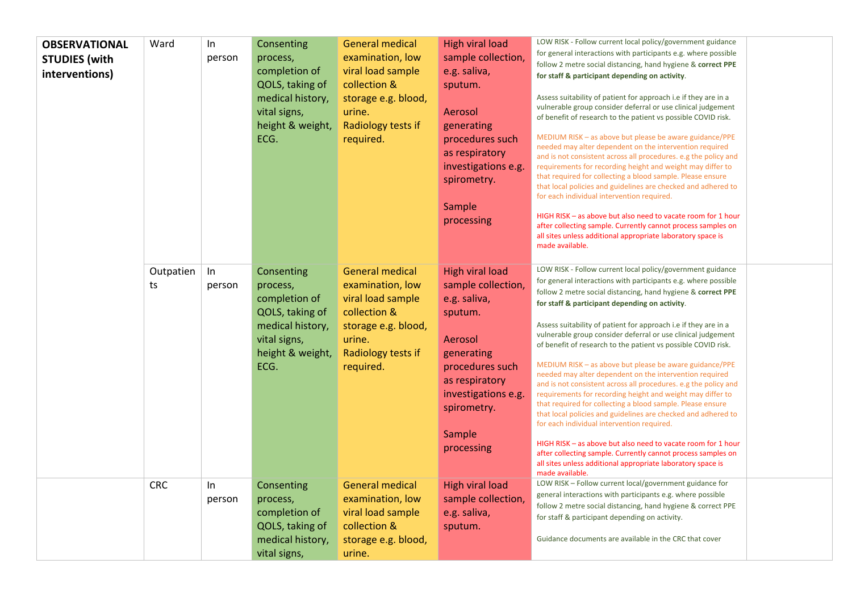| <b>OBSERVATIONAL</b><br><b>STUDIES</b> (with<br>interventions) | Ward            | $\ln$<br>person | Consenting<br>process,<br>completion of<br>QOLS, taking of<br>medical history,<br>vital signs,<br>height & weight,<br>ECG. | <b>General medical</b><br>examination, low<br>viral load sample<br>collection &<br>storage e.g. blood,<br>urine.<br>Radiology tests if<br>required. | <b>High viral load</b><br>sample collection,<br>e.g. saliva,<br>sputum.<br>Aerosol<br>generating<br>procedures such<br>as respiratory<br>investigations e.g.<br>spirometry.<br>Sample<br>processing | LOW RISK - Follow current local policy/government guidance<br>for general interactions with participants e.g. where possible<br>follow 2 metre social distancing, hand hygiene & correct PPE<br>for staff & participant depending on activity.<br>Assess suitability of patient for approach i.e if they are in a<br>vulnerable group consider deferral or use clinical judgement<br>of benefit of research to the patient vs possible COVID risk.<br>MEDIUM RISK - as above but please be aware guidance/PPE<br>needed may alter dependent on the intervention required<br>and is not consistent across all procedures, e.g the policy and<br>requirements for recording height and weight may differ to<br>that required for collecting a blood sample. Please ensure<br>that local policies and guidelines are checked and adhered to<br>for each individual intervention required.<br>HIGH RISK - as above but also need to vacate room for 1 hour<br>after collecting sample. Currently cannot process samples on<br>all sites unless additional appropriate laboratory space is<br>made available. |  |
|----------------------------------------------------------------|-----------------|-----------------|----------------------------------------------------------------------------------------------------------------------------|-----------------------------------------------------------------------------------------------------------------------------------------------------|-----------------------------------------------------------------------------------------------------------------------------------------------------------------------------------------------------|----------------------------------------------------------------------------------------------------------------------------------------------------------------------------------------------------------------------------------------------------------------------------------------------------------------------------------------------------------------------------------------------------------------------------------------------------------------------------------------------------------------------------------------------------------------------------------------------------------------------------------------------------------------------------------------------------------------------------------------------------------------------------------------------------------------------------------------------------------------------------------------------------------------------------------------------------------------------------------------------------------------------------------------------------------------------------------------------------------|--|
|                                                                | Outpatien<br>ts | $\ln$<br>person | Consenting<br>process,<br>completion of<br>QOLS, taking of<br>medical history,<br>vital signs,<br>height & weight,<br>ECG. | <b>General medical</b><br>examination, low<br>viral load sample<br>collection &<br>storage e.g. blood,<br>urine.<br>Radiology tests if<br>required. | <b>High viral load</b><br>sample collection,<br>e.g. saliva,<br>sputum.<br>Aerosol<br>generating<br>procedures such<br>as respiratory<br>investigations e.g.<br>spirometry.<br>Sample<br>processing | LOW RISK - Follow current local policy/government guidance<br>for general interactions with participants e.g. where possible<br>follow 2 metre social distancing, hand hygiene & correct PPE<br>for staff & participant depending on activity.<br>Assess suitability of patient for approach i.e if they are in a<br>vulnerable group consider deferral or use clinical judgement<br>of benefit of research to the patient vs possible COVID risk.<br>MEDIUM RISK - as above but please be aware guidance/PPE<br>needed may alter dependent on the intervention required<br>and is not consistent across all procedures. e.g the policy and<br>requirements for recording height and weight may differ to<br>that required for collecting a blood sample. Please ensure<br>that local policies and guidelines are checked and adhered to<br>for each individual intervention required.<br>HIGH RISK - as above but also need to vacate room for 1 hour<br>after collecting sample. Currently cannot process samples on<br>all sites unless additional appropriate laboratory space is<br>made available. |  |
|                                                                | <b>CRC</b>      | $\ln$<br>person | Consenting<br>process,<br>completion of<br>QOLS, taking of<br>medical history,<br>vital signs,                             | <b>General medical</b><br>examination, low<br>viral load sample<br>collection &<br>storage e.g. blood,<br>urine.                                    | <b>High viral load</b><br>sample collection,<br>e.g. saliva,<br>sputum.                                                                                                                             | LOW RISK - Follow current local/government guidance for<br>general interactions with participants e.g. where possible<br>follow 2 metre social distancing, hand hygiene & correct PPE<br>for staff & participant depending on activity.<br>Guidance documents are available in the CRC that cover                                                                                                                                                                                                                                                                                                                                                                                                                                                                                                                                                                                                                                                                                                                                                                                                        |  |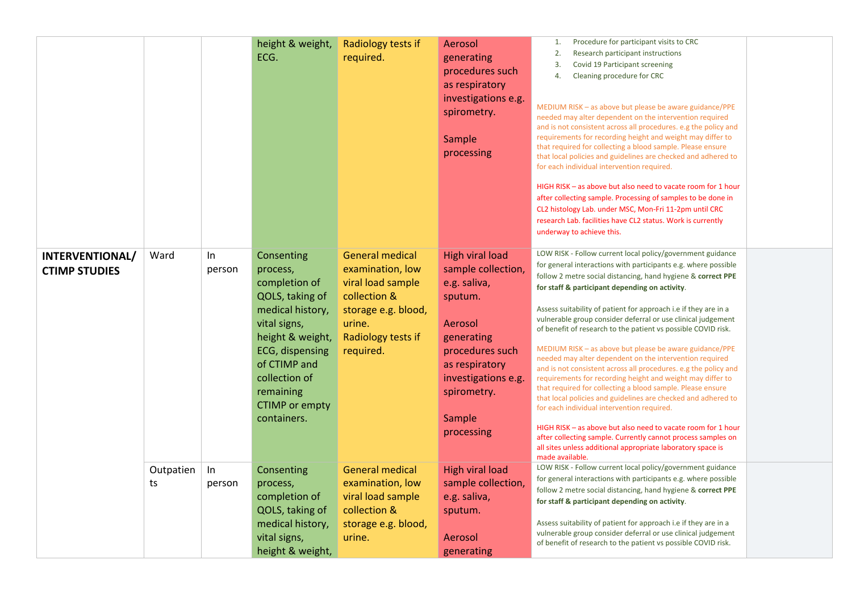|                                         |                 |              | height & weight,<br>ECG.                                                                                                                                                                                                    | Radiology tests if<br>required.                                                                                                                     | Aerosol<br>generating<br>procedures such<br>as respiratory<br>investigations e.g.<br>spirometry.<br>Sample<br>processing                                                                            | Procedure for participant visits to CRC<br>1.<br>2.<br>Research participant instructions<br>Covid 19 Participant screening<br>3.<br>Cleaning procedure for CRC<br>4.<br>MEDIUM RISK - as above but please be aware guidance/PPE<br>needed may alter dependent on the intervention required<br>and is not consistent across all procedures, e.g the policy and<br>requirements for recording height and weight may differ to<br>that required for collecting a blood sample. Please ensure<br>that local policies and guidelines are checked and adhered to<br>for each individual intervention required.<br>HIGH RISK - as above but also need to vacate room for 1 hour<br>after collecting sample. Processing of samples to be done in<br>CL2 histology Lab. under MSC, Mon-Fri 11-2pm until CRC<br>research Lab. facilities have CL2 status. Work is currently<br>underway to achieve this.                                                                                                                                                                                                           |  |
|-----------------------------------------|-----------------|--------------|-----------------------------------------------------------------------------------------------------------------------------------------------------------------------------------------------------------------------------|-----------------------------------------------------------------------------------------------------------------------------------------------------|-----------------------------------------------------------------------------------------------------------------------------------------------------------------------------------------------------|----------------------------------------------------------------------------------------------------------------------------------------------------------------------------------------------------------------------------------------------------------------------------------------------------------------------------------------------------------------------------------------------------------------------------------------------------------------------------------------------------------------------------------------------------------------------------------------------------------------------------------------------------------------------------------------------------------------------------------------------------------------------------------------------------------------------------------------------------------------------------------------------------------------------------------------------------------------------------------------------------------------------------------------------------------------------------------------------------------|--|
| INTERVENTIONAL/<br><b>CTIMP STUDIES</b> | Ward            | In<br>person | Consenting<br>process,<br>completion of<br>QOLS, taking of<br>medical history,<br>vital signs,<br>height & weight,<br>ECG, dispensing<br>of CTIMP and<br>collection of<br>remaining<br><b>CTIMP</b> or empty<br>containers. | <b>General medical</b><br>examination, low<br>viral load sample<br>collection &<br>storage e.g. blood,<br>urine.<br>Radiology tests if<br>required. | <b>High viral load</b><br>sample collection,<br>e.g. saliva,<br>sputum.<br>Aerosol<br>generating<br>procedures such<br>as respiratory<br>investigations e.g.<br>spirometry.<br>Sample<br>processing | LOW RISK - Follow current local policy/government guidance<br>for general interactions with participants e.g. where possible<br>follow 2 metre social distancing, hand hygiene & correct PPE<br>for staff & participant depending on activity.<br>Assess suitability of patient for approach i.e if they are in a<br>vulnerable group consider deferral or use clinical judgement<br>of benefit of research to the patient vs possible COVID risk.<br>MEDIUM RISK - as above but please be aware guidance/PPE<br>needed may alter dependent on the intervention required<br>and is not consistent across all procedures. e.g the policy and<br>requirements for recording height and weight may differ to<br>that required for collecting a blood sample. Please ensure<br>that local policies and guidelines are checked and adhered to<br>for each individual intervention required.<br>HIGH RISK - as above but also need to vacate room for 1 hour<br>after collecting sample. Currently cannot process samples on<br>all sites unless additional appropriate laboratory space is<br>made available. |  |
|                                         | Outpatien<br>ts | ln<br>person | Consenting<br>process,<br>completion of<br>QOLS, taking of<br>medical history,<br>vital signs,<br>height & weight,                                                                                                          | <b>General medical</b><br>examination, low<br>viral load sample<br>collection &<br>storage e.g. blood,<br>urine.                                    | <b>High viral load</b><br>sample collection,<br>e.g. saliva,<br>sputum.<br>Aerosol<br>generating                                                                                                    | LOW RISK - Follow current local policy/government guidance<br>for general interactions with participants e.g. where possible<br>follow 2 metre social distancing, hand hygiene & correct PPE<br>for staff & participant depending on activity.<br>Assess suitability of patient for approach i.e if they are in a<br>vulnerable group consider deferral or use clinical judgement<br>of benefit of research to the patient vs possible COVID risk.                                                                                                                                                                                                                                                                                                                                                                                                                                                                                                                                                                                                                                                       |  |